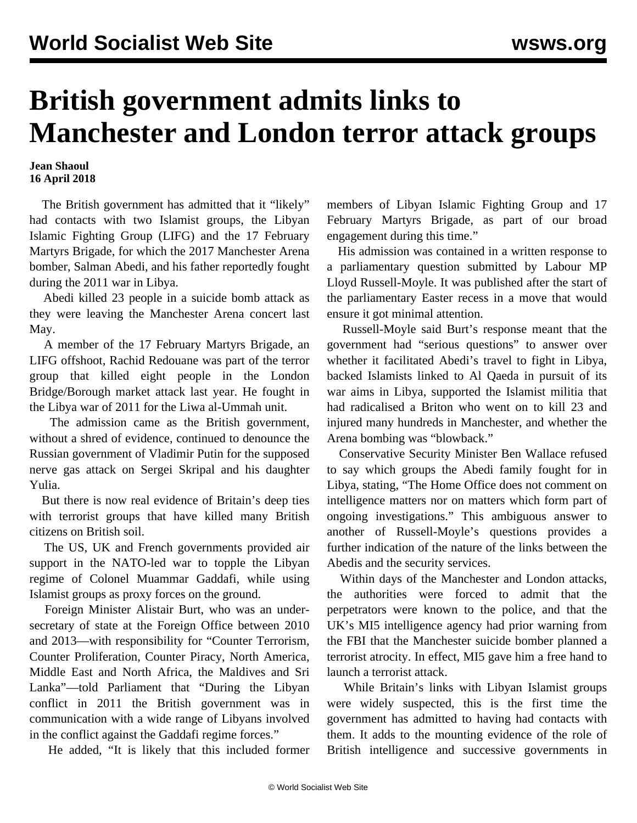## **British government admits links to Manchester and London terror attack groups**

## **Jean Shaoul 16 April 2018**

 The British government has admitted that it "likely" had contacts with two Islamist groups, the Libyan Islamic Fighting Group (LIFG) and the 17 February Martyrs Brigade, for which the 2017 Manchester Arena bomber, Salman Abedi, and his father reportedly fought during the 2011 war in Libya.

 Abedi killed 23 people in a suicide bomb attack as they were leaving the Manchester Arena concert last May.

 A member of the 17 February Martyrs Brigade, an LIFG offshoot, Rachid Redouane was part of the terror group that killed eight people in the London Bridge/Borough market attack last year. He fought in the Libya war of 2011 for the Liwa al-Ummah unit.

 The admission came as the British government, without a shred of evidence, continued to denounce the Russian government of Vladimir Putin for the supposed nerve gas attack on Sergei Skripal and his daughter Yulia.

 But there is now real evidence of Britain's deep ties with terrorist groups that have killed many British citizens on British soil.

 The US, UK and French governments provided air support in the NATO-led war to topple the Libyan regime of Colonel Muammar Gaddafi, while using Islamist groups as proxy forces on the ground.

 Foreign Minister Alistair Burt, who was an undersecretary of state at the Foreign Office between 2010 and 2013—with responsibility for "Counter Terrorism, Counter Proliferation, Counter Piracy, North America, Middle East and North Africa, the Maldives and Sri Lanka"—told Parliament that "During the Libyan conflict in 2011 the British government was in communication with a wide range of Libyans involved in the conflict against the Gaddafi regime forces."

He added, "It is likely that this included former

members of Libyan Islamic Fighting Group and 17 February Martyrs Brigade, as part of our broad engagement during this time."

 His admission was contained in a written response to a parliamentary question submitted by Labour MP Lloyd Russell-Moyle. It was published after the start of the parliamentary Easter recess in a move that would ensure it got minimal attention.

 Russell-Moyle said Burt's response meant that the government had "serious questions" to answer over whether it facilitated Abedi's travel to fight in Libya, backed Islamists linked to Al Qaeda in pursuit of its war aims in Libya, supported the Islamist militia that had radicalised a Briton who went on to kill 23 and injured many hundreds in Manchester, and whether the Arena bombing was "blowback."

 Conservative Security Minister Ben Wallace refused to say which groups the Abedi family fought for in Libya, stating, "The Home Office does not comment on intelligence matters nor on matters which form part of ongoing investigations." This ambiguous answer to another of Russell-Moyle's questions provides a further indication of the nature of the links between the Abedis and the security services.

 Within days of the Manchester and London attacks, the authorities were forced to admit that the perpetrators were known to the police, and that the UK's MI5 intelligence agency had prior warning from the FBI that the Manchester suicide bomber planned a terrorist atrocity. In effect, MI5 gave him a free hand to launch a terrorist attack.

 While Britain's links with Libyan Islamist groups were widely suspected, this is the first time the government has admitted to having had contacts with them. It adds to the mounting evidence of the role of British intelligence and successive governments in